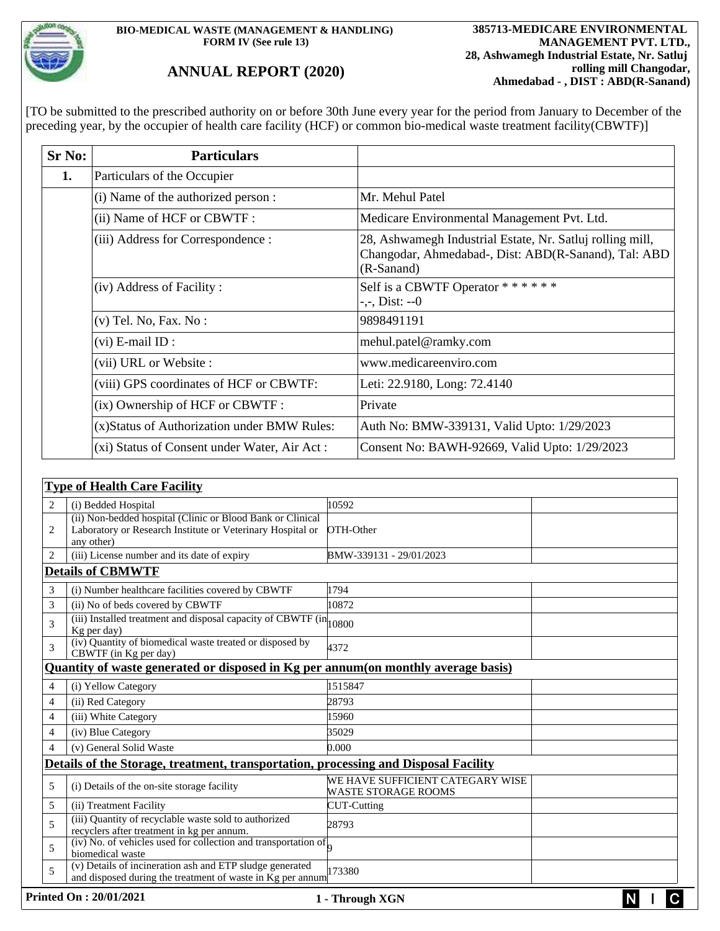

## **ANNUAL REPORT (2020)**

[TO be submitted to the prescribed authority on or before 30th June every year for the period from January to December of the preceding year, by the occupier of health care facility (HCF) or common bio-medical waste treatment facility(CBWTF)]

| <b>Sr No:</b> | <b>Particulars</b>                           |                                                                                                                                 |  |
|---------------|----------------------------------------------|---------------------------------------------------------------------------------------------------------------------------------|--|
| 1.            | Particulars of the Occupier                  |                                                                                                                                 |  |
|               | (i) Name of the authorized person :          | Mr. Mehul Patel                                                                                                                 |  |
|               | (ii) Name of HCF or CBWTF :                  | Medicare Environmental Management Pvt. Ltd.                                                                                     |  |
|               | (iii) Address for Correspondence :           | 28, Ashwamegh Industrial Estate, Nr. Satluj rolling mill,<br>Changodar, Ahmedabad-, Dist: ABD(R-Sanand), Tal: ABD<br>(R-Sanand) |  |
|               | (iv) Address of Facility:                    | Self is a CBWTF Operator * * * * * *<br>$-,-$ , Dist: $-0$                                                                      |  |
|               | $(v)$ Tel. No, Fax. No:                      | 9898491191                                                                                                                      |  |
|               | (vi) E-mail ID :                             | mehul.patel@ramky.com                                                                                                           |  |
|               | (vii) URL or Website:                        | www.medicareenviro.com                                                                                                          |  |
|               | (viii) GPS coordinates of HCF or CBWTF:      | Leti: 22.9180, Long: 72.4140                                                                                                    |  |
|               | (ix) Ownership of HCF or CBWTF :             | Private                                                                                                                         |  |
|               | (x) Status of Authorization under BMW Rules: | Auth No: BMW-339131, Valid Upto: 1/29/2023                                                                                      |  |
|               | (xi) Status of Consent under Water, Air Act: | Consent No: BAWH-92669, Valid Upto: 1/29/2023                                                                                   |  |

|                | <b>Type of Health Care Facility</b>                                                                                                    |                                                                |                |
|----------------|----------------------------------------------------------------------------------------------------------------------------------------|----------------------------------------------------------------|----------------|
| 2              | (i) Bedded Hospital                                                                                                                    | 10592                                                          |                |
| 2              | (ii) Non-bedded hospital (Clinic or Blood Bank or Clinical<br>Laboratory or Research Institute or Veterinary Hospital or<br>any other) | OTH-Other                                                      |                |
| 2              | (iii) License number and its date of expiry                                                                                            | BMW-339131 - 29/01/2023                                        |                |
|                | <b>Details of CBMWTF</b>                                                                                                               |                                                                |                |
| 3              | (i) Number healthcare facilities covered by CBWTF                                                                                      | 1794                                                           |                |
| 3              | (ii) No of beds covered by CBWTF                                                                                                       | 10872                                                          |                |
| 3              | (iii) Installed treatment and disposal capacity of CBWTF $(in \mid_{10800})$<br>Kg per day)                                            |                                                                |                |
| 3              | (iv) Quantity of biomedical waste treated or disposed by<br>CBWTF (in Kg per day)                                                      | 4372                                                           |                |
|                | <u>Ouantity of waste generated or disposed in Kg per annum(on monthly average basis)</u>                                               |                                                                |                |
| $\overline{4}$ | (i) Yellow Category                                                                                                                    | 1515847                                                        |                |
| 4              | (ii) Red Category                                                                                                                      | 28793                                                          |                |
| 4              | (iii) White Category                                                                                                                   | 15960                                                          |                |
| 4              | (iv) Blue Category                                                                                                                     | 35029                                                          |                |
| $\overline{4}$ | (v) General Solid Waste                                                                                                                | 0.000                                                          |                |
|                | <b>Details of the Storage, treatment, transportation, processing and Disposal Facility</b>                                             |                                                                |                |
| 5              | (i) Details of the on-site storage facility                                                                                            | WE HAVE SUFFICIENT CATEGARY WISE<br><b>WASTE STORAGE ROOMS</b> |                |
| 5              | (ii) Treatment Facility                                                                                                                | <b>CUT-Cutting</b>                                             |                |
| $\overline{5}$ | (iii) Quantity of recyclable waste sold to authorized<br>recyclers after treatment in kg per annum.                                    | 28793                                                          |                |
| 5              | (iv) No. of vehicles used for collection and transportation of $\alpha$<br>biomedical waste                                            |                                                                |                |
| 5              | (v) Details of incineration ash and ETP sludge generated<br>and disposed during the treatment of waste in Kg per annum                 | 173380                                                         |                |
|                | Printed On : 20/01/2021                                                                                                                | 1 - Through XGN                                                | $\overline{C}$ |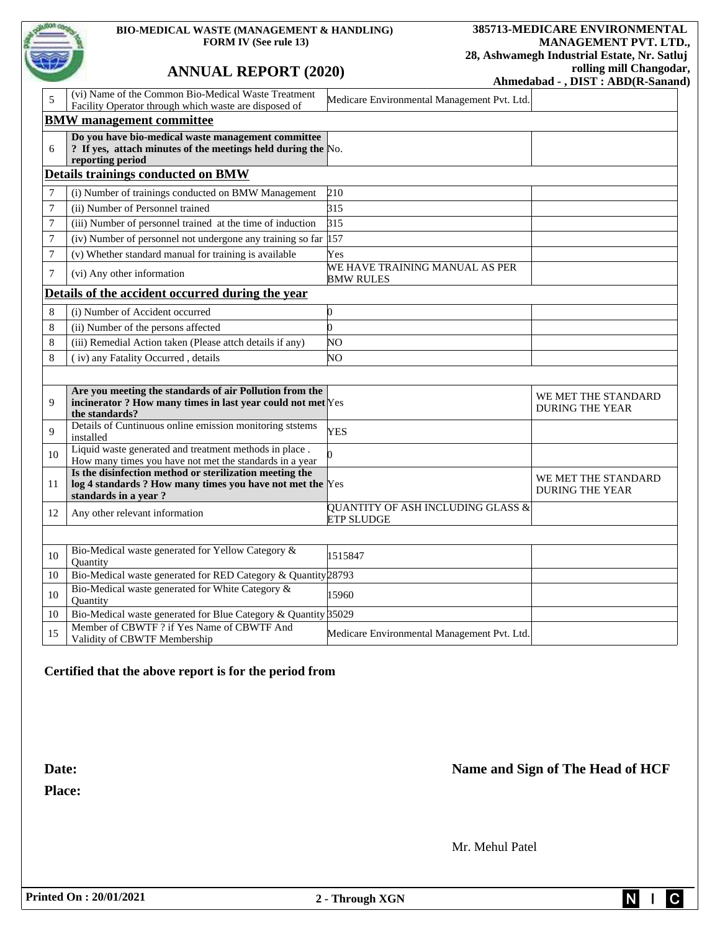|                                           | <b>BIO-MEDICAL WASTE (MANAGEMENT &amp; HANDLING)</b><br><b>FORM IV (See rule 13)</b>                                                         |                                                                   | 385713-MEDICARE ENVIRONMENTAL<br><b>MANAGEMENT PVT. LTD.,</b><br>28, Ashwamegh Industrial Estate, Nr. Satluj |  |  |  |  |
|-------------------------------------------|----------------------------------------------------------------------------------------------------------------------------------------------|-------------------------------------------------------------------|--------------------------------------------------------------------------------------------------------------|--|--|--|--|
|                                           | <b>ANNUAL REPORT (2020)</b>                                                                                                                  |                                                                   | rolling mill Changodar,<br>Ahmedabad - , DIST : ABD(R-Sanand)                                                |  |  |  |  |
| 5                                         | (vi) Name of the Common Bio-Medical Waste Treatment<br>Facility Operator through which waste are disposed of                                 | Medicare Environmental Management Pvt. Ltd.                       |                                                                                                              |  |  |  |  |
|                                           | <b>BMW</b> management committee                                                                                                              |                                                                   |                                                                                                              |  |  |  |  |
| 6                                         | Do you have bio-medical waste management committee<br>? If yes, attach minutes of the meetings held during the $No$ .<br>reporting period    |                                                                   |                                                                                                              |  |  |  |  |
| <b>Details trainings conducted on BMW</b> |                                                                                                                                              |                                                                   |                                                                                                              |  |  |  |  |
| 7                                         | (i) Number of trainings conducted on BMW Management                                                                                          | 210                                                               |                                                                                                              |  |  |  |  |
| 7                                         | (ii) Number of Personnel trained                                                                                                             | 315                                                               |                                                                                                              |  |  |  |  |
| 7                                         | (iii) Number of personnel trained at the time of induction                                                                                   | 315                                                               |                                                                                                              |  |  |  |  |
| 7                                         | (iv) Number of personnel not undergone any training so far $ 157 $                                                                           |                                                                   |                                                                                                              |  |  |  |  |
| 7                                         | (v) Whether standard manual for training is available                                                                                        | Yes                                                               |                                                                                                              |  |  |  |  |
| $\overline{7}$                            | (vi) Any other information                                                                                                                   | WE HAVE TRAINING MANUAL AS PER<br><b>BMW RULES</b>                |                                                                                                              |  |  |  |  |
|                                           | Details of the accident occurred during the year                                                                                             |                                                                   |                                                                                                              |  |  |  |  |
| 8                                         | (i) Number of Accident occurred                                                                                                              | O                                                                 |                                                                                                              |  |  |  |  |
| $\,8\,$                                   | (ii) Number of the persons affected                                                                                                          | h                                                                 |                                                                                                              |  |  |  |  |
| 8                                         | (iii) Remedial Action taken (Please attch details if any)                                                                                    | NO                                                                |                                                                                                              |  |  |  |  |
| 8                                         | (iv) any Fatality Occurred, details                                                                                                          | NO                                                                |                                                                                                              |  |  |  |  |
|                                           |                                                                                                                                              |                                                                   |                                                                                                              |  |  |  |  |
| 9                                         | Are you meeting the standards of air Pollution from the<br>incinerator? How many times in last year could not met Yes<br>the standards?      |                                                                   | WE MET THE STANDARD<br><b>DURING THE YEAR</b>                                                                |  |  |  |  |
| 9                                         | Details of Cuntinuous online emission monitoring ststems<br>installed                                                                        | <b>YES</b>                                                        |                                                                                                              |  |  |  |  |
| 10                                        | Liquid waste generated and treatment methods in place.<br>How many times you have not met the standards in a year                            |                                                                   |                                                                                                              |  |  |  |  |
| 11                                        | Is the disinfection method or sterilization meeting the<br>log 4 standards ? How many times you have not met the Yes<br>standards in a year? |                                                                   | WE MET THE STANDARD<br><b>DURING THE YEAR</b>                                                                |  |  |  |  |
| 12                                        | Any other relevant information                                                                                                               | <b>QUANTITY OF ASH INCLUDING GLASS &amp;</b><br><b>ETP SLUDGE</b> |                                                                                                              |  |  |  |  |
|                                           |                                                                                                                                              |                                                                   |                                                                                                              |  |  |  |  |
| 10                                        | Bio-Medical waste generated for Yellow Category &<br>Quantity                                                                                | 1515847                                                           |                                                                                                              |  |  |  |  |
| 10                                        | Bio-Medical waste generated for RED Category & Quantity 28793                                                                                |                                                                   |                                                                                                              |  |  |  |  |
| 10                                        | Bio-Medical waste generated for White Category &<br>Quantity                                                                                 | 15960                                                             |                                                                                                              |  |  |  |  |
| 10                                        | Bio-Medical waste generated for Blue Category & Quantity 35029                                                                               |                                                                   |                                                                                                              |  |  |  |  |
| 15                                        | Member of CBWTF ? if Yes Name of CBWTF And<br>Validity of CBWTF Membership                                                                   | Medicare Environmental Management Pvt. Ltd.                       |                                                                                                              |  |  |  |  |

## **Certified that the above report is for the period from**

**Place:** 

**Date:** Name and Sign of The Head of HCF

Mr. Mehul Patel